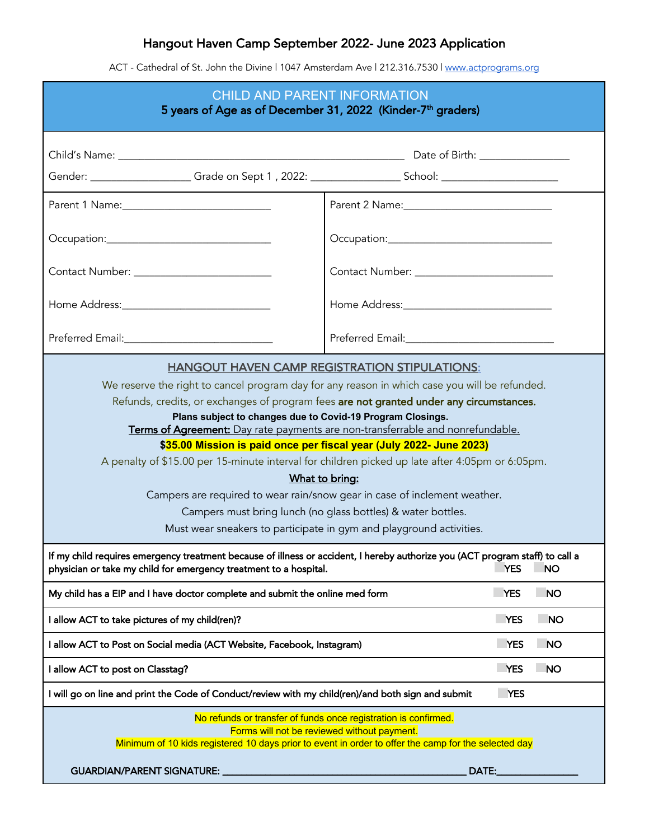## Hangout Haven Camp September 2022- June 2023 Application

ACT - Cathedral of St. John the Divine | 1047 Amsterdam Ave | 212.316.7530 | www.actprograms.org

| <b>CHILD AND PARENT INFORMATION</b><br>5 years of Age as of December 31, 2022 (Kinder-7 <sup>th</sup> graders)                                                                                                                                                                                                                                                                                                                                                                                                                                                                                                                                                                                                                                                                                                   |                         |  |
|------------------------------------------------------------------------------------------------------------------------------------------------------------------------------------------------------------------------------------------------------------------------------------------------------------------------------------------------------------------------------------------------------------------------------------------------------------------------------------------------------------------------------------------------------------------------------------------------------------------------------------------------------------------------------------------------------------------------------------------------------------------------------------------------------------------|-------------------------|--|
|                                                                                                                                                                                                                                                                                                                                                                                                                                                                                                                                                                                                                                                                                                                                                                                                                  |                         |  |
| Gender: _____________________Grade on Sept 1, 2022: ____________________School: _________________________                                                                                                                                                                                                                                                                                                                                                                                                                                                                                                                                                                                                                                                                                                        |                         |  |
|                                                                                                                                                                                                                                                                                                                                                                                                                                                                                                                                                                                                                                                                                                                                                                                                                  |                         |  |
|                                                                                                                                                                                                                                                                                                                                                                                                                                                                                                                                                                                                                                                                                                                                                                                                                  |                         |  |
| Contact Number: ___________________________                                                                                                                                                                                                                                                                                                                                                                                                                                                                                                                                                                                                                                                                                                                                                                      |                         |  |
| Home Address:_______________________________                                                                                                                                                                                                                                                                                                                                                                                                                                                                                                                                                                                                                                                                                                                                                                     |                         |  |
|                                                                                                                                                                                                                                                                                                                                                                                                                                                                                                                                                                                                                                                                                                                                                                                                                  |                         |  |
| <b>HANGOUT HAVEN CAMP REGISTRATION STIPULATIONS:</b><br>We reserve the right to cancel program day for any reason in which case you will be refunded.<br>Refunds, credits, or exchanges of program fees are not granted under any circumstances.<br>Plans subject to changes due to Covid-19 Program Closings.<br>Terms of Agreement: Day rate payments are non-transferrable and nonrefundable.<br>\$35.00 Mission is paid once per fiscal year (July 2022- June 2023)<br>A penalty of \$15.00 per 15-minute interval for children picked up late after 4:05pm or 6:05pm.<br>What to bring:<br>Campers are required to wear rain/snow gear in case of inclement weather.<br>Campers must bring lunch (no glass bottles) & water bottles.<br>Must wear sneakers to participate in gym and playground activities. |                         |  |
| If my child requires emergency treatment because of illness or accident, I hereby authorize you (ACT program staff) to call a<br>physician or take my child for emergency treatment to a hospital.<br><b>YES</b><br><b>NO</b>                                                                                                                                                                                                                                                                                                                                                                                                                                                                                                                                                                                    |                         |  |
| My child has a EIP and I have doctor complete and submit the online med form<br><b>YES</b><br><b>NO</b>                                                                                                                                                                                                                                                                                                                                                                                                                                                                                                                                                                                                                                                                                                          |                         |  |
| I allow ACT to take pictures of my child(ren)?                                                                                                                                                                                                                                                                                                                                                                                                                                                                                                                                                                                                                                                                                                                                                                   | <b>YES</b><br><b>NO</b> |  |
| I allow ACT to Post on Social media (ACT Website, Facebook, Instagram)<br><b>YES</b><br><b>NO</b>                                                                                                                                                                                                                                                                                                                                                                                                                                                                                                                                                                                                                                                                                                                |                         |  |
| I allow ACT to post on Classtag?                                                                                                                                                                                                                                                                                                                                                                                                                                                                                                                                                                                                                                                                                                                                                                                 | <b>YES</b><br><b>NO</b> |  |
| I will go on line and print the Code of Conduct/review with my child(ren)/and both sign and submit<br><b>YES</b>                                                                                                                                                                                                                                                                                                                                                                                                                                                                                                                                                                                                                                                                                                 |                         |  |
| No refunds or transfer of funds once registration is confirmed.<br>Forms will not be reviewed without payment.<br>Minimum of 10 kids registered 10 days prior to event in order to offer the camp for the selected day<br><b>GUARDIAN/PARENT SIGNATURE:</b><br>DATE:                                                                                                                                                                                                                                                                                                                                                                                                                                                                                                                                             |                         |  |